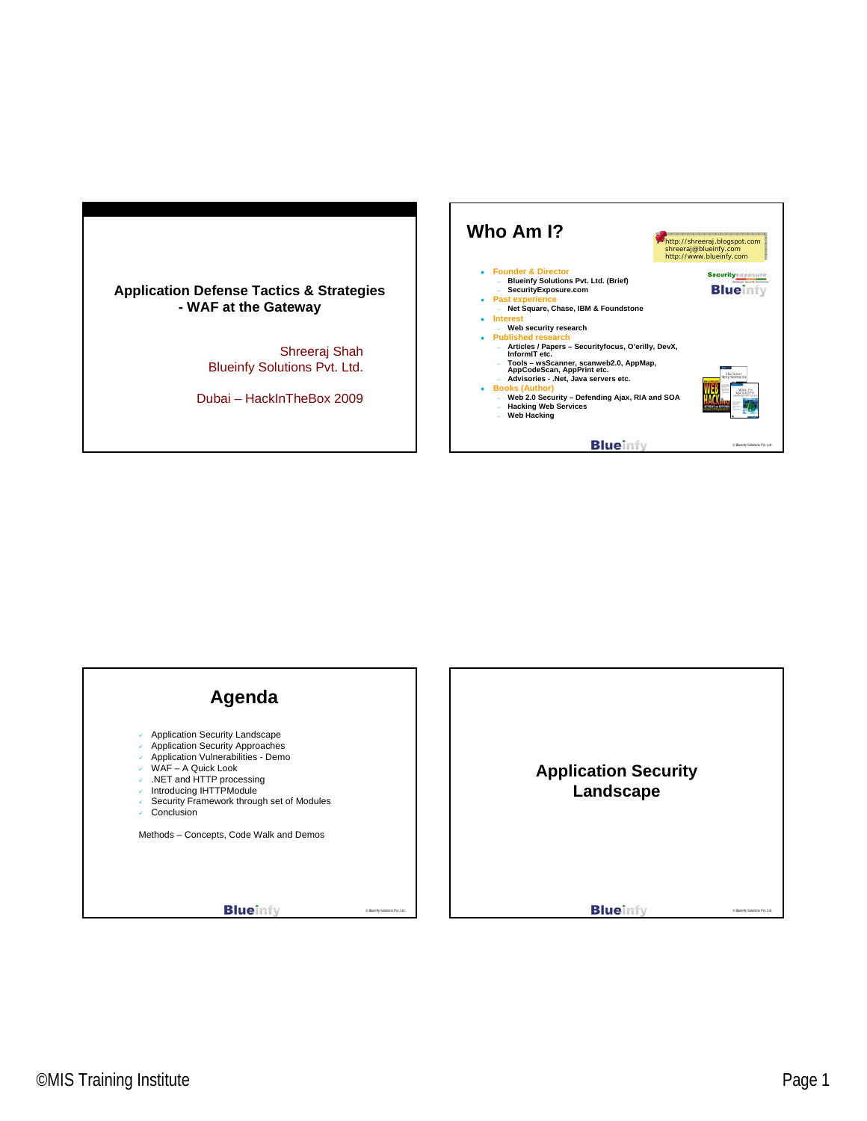



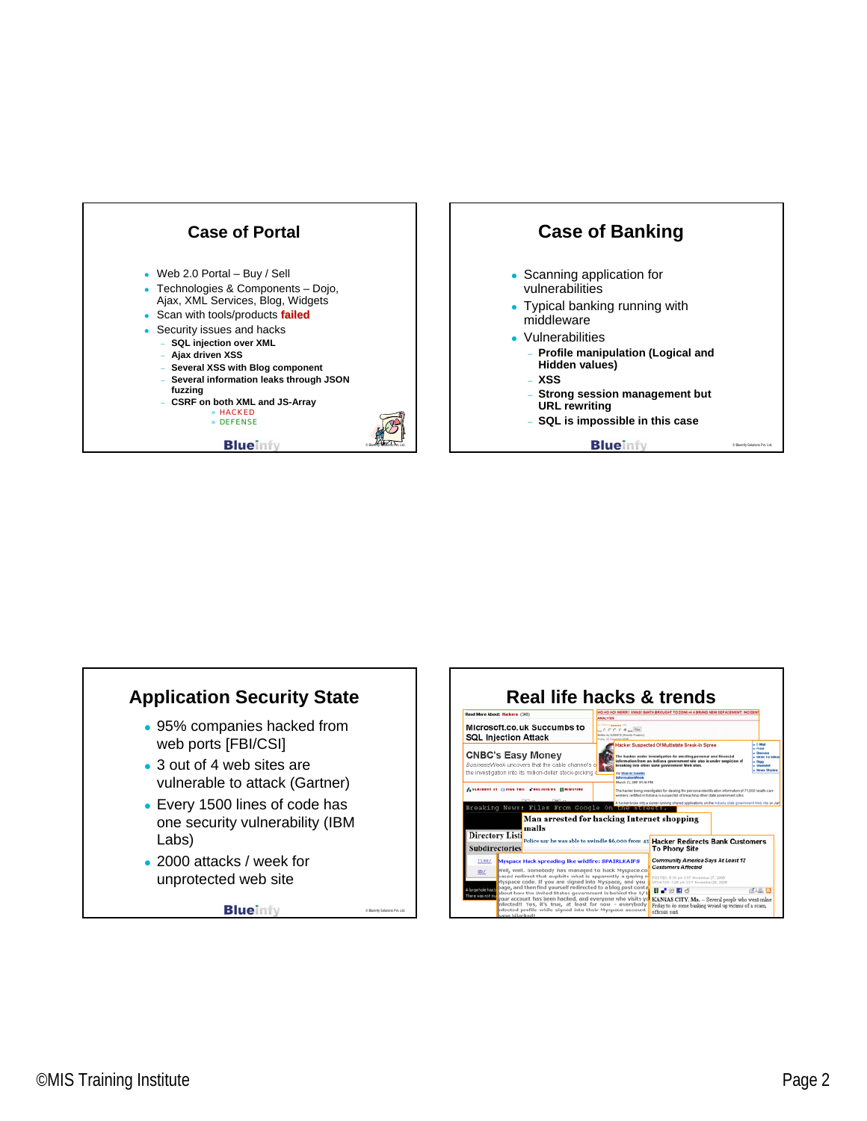



- middleware
- Vulnerabilities
	- **Profile manipulation (Logical and Hidden values)**
	- **XSS**
	- **Strong session management but URL rewriting**
	- **SQL is impossible in this case**

**Blueinfy** 



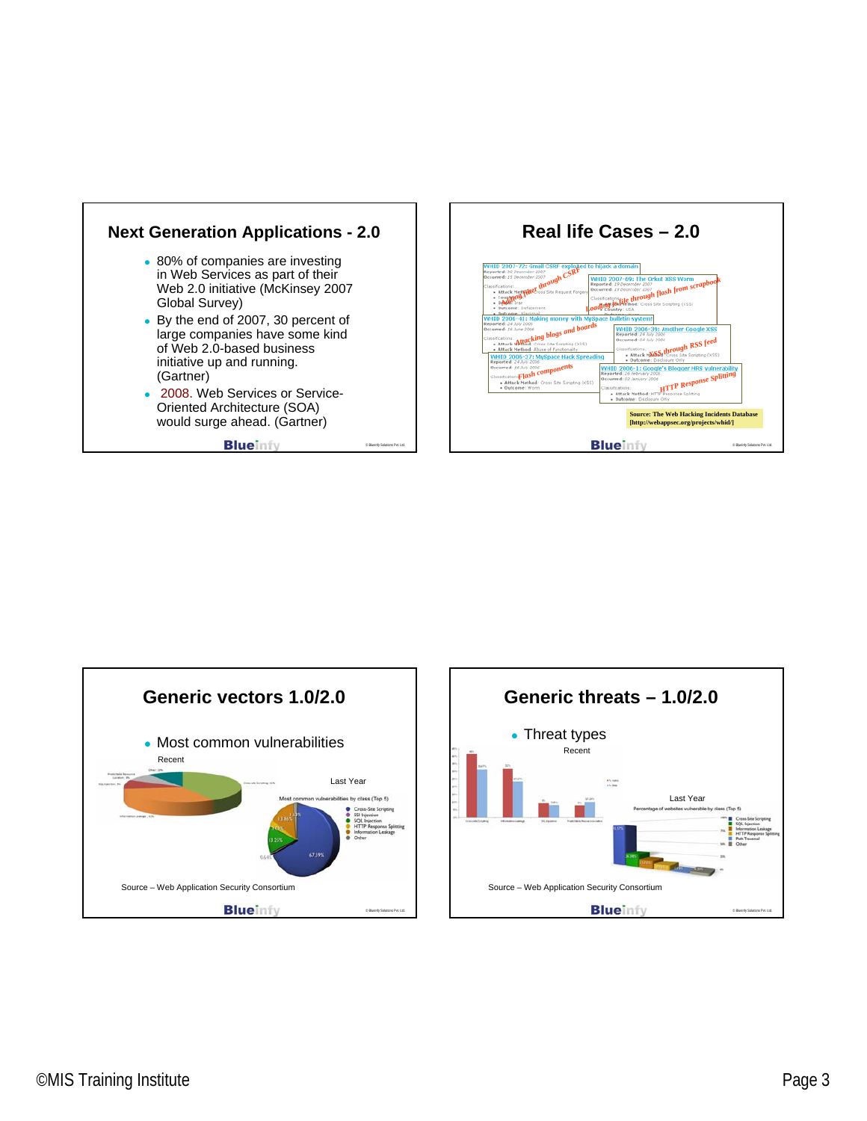





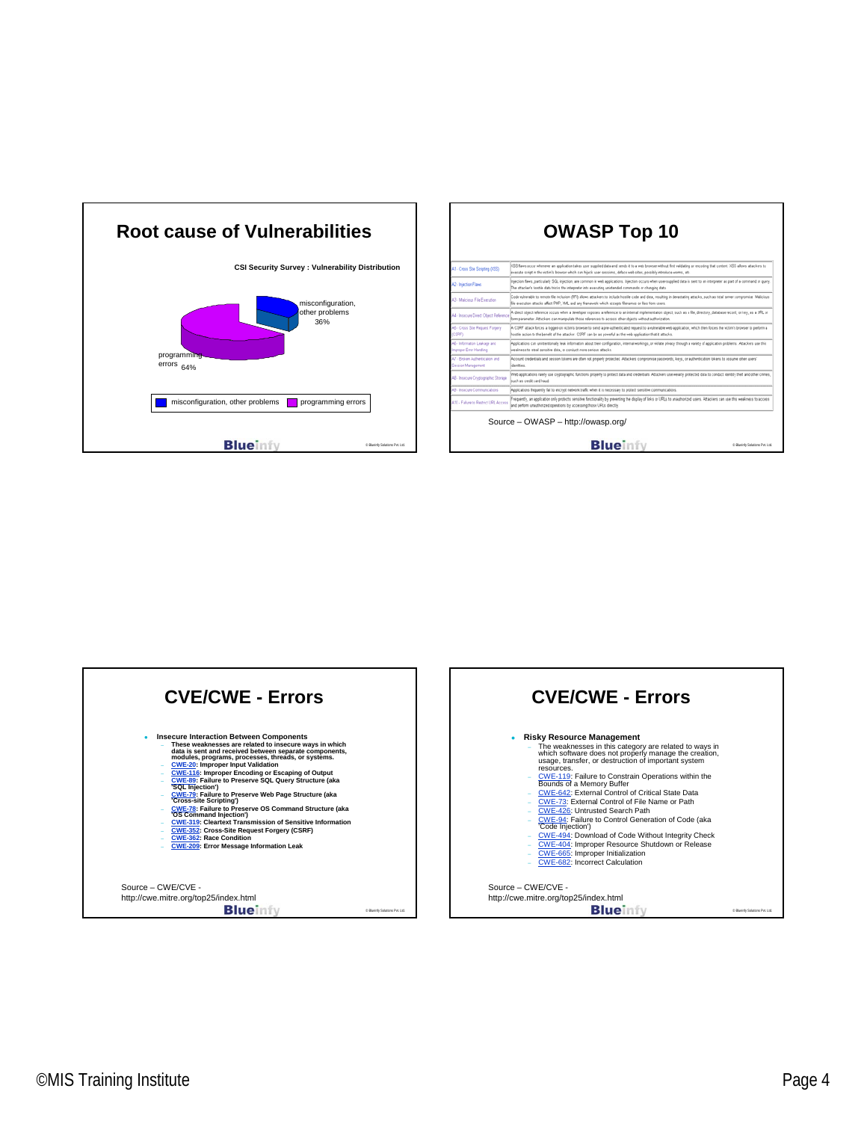





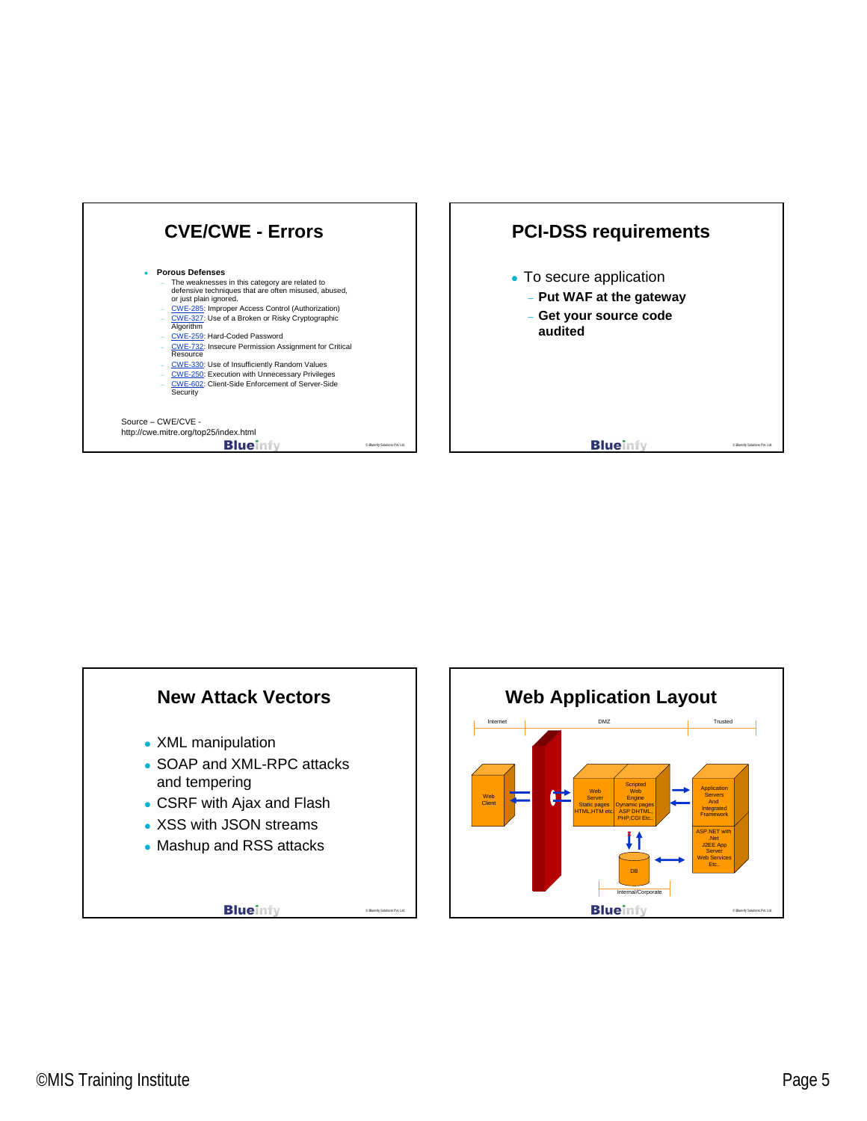





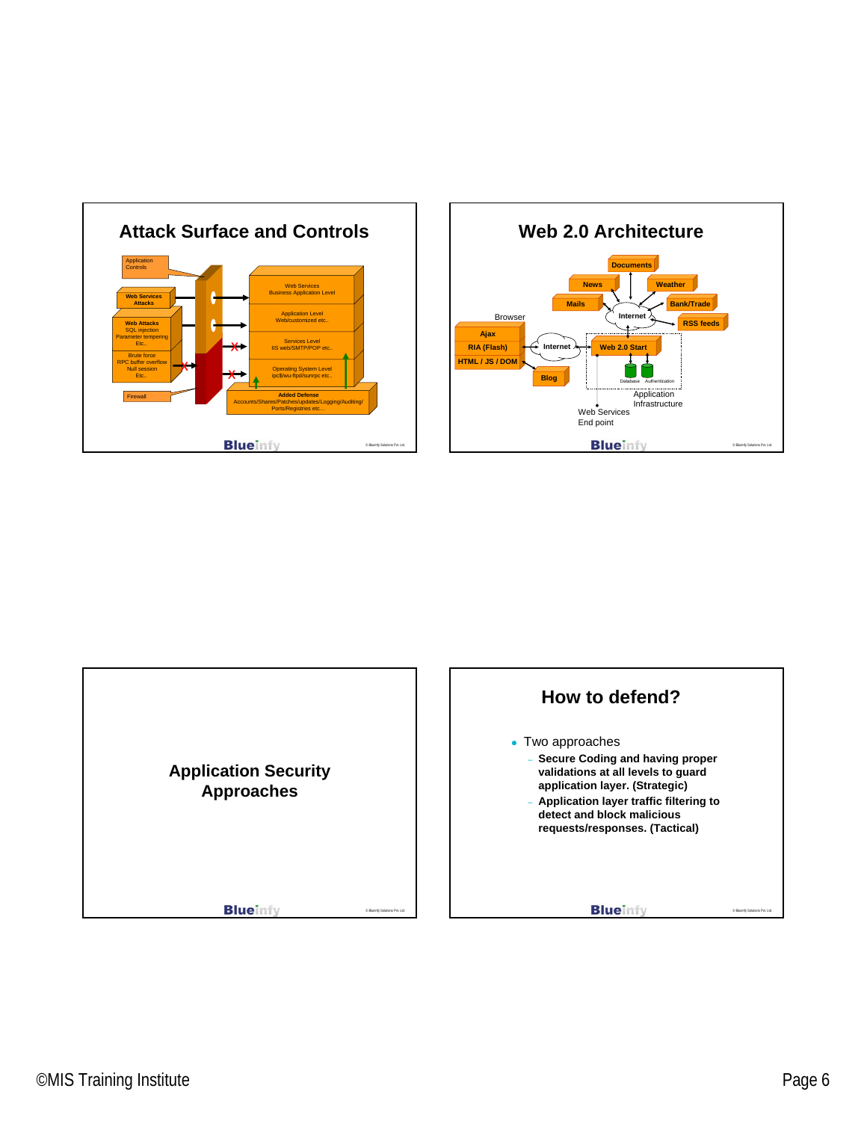





## ©MIS Training Institute Page 6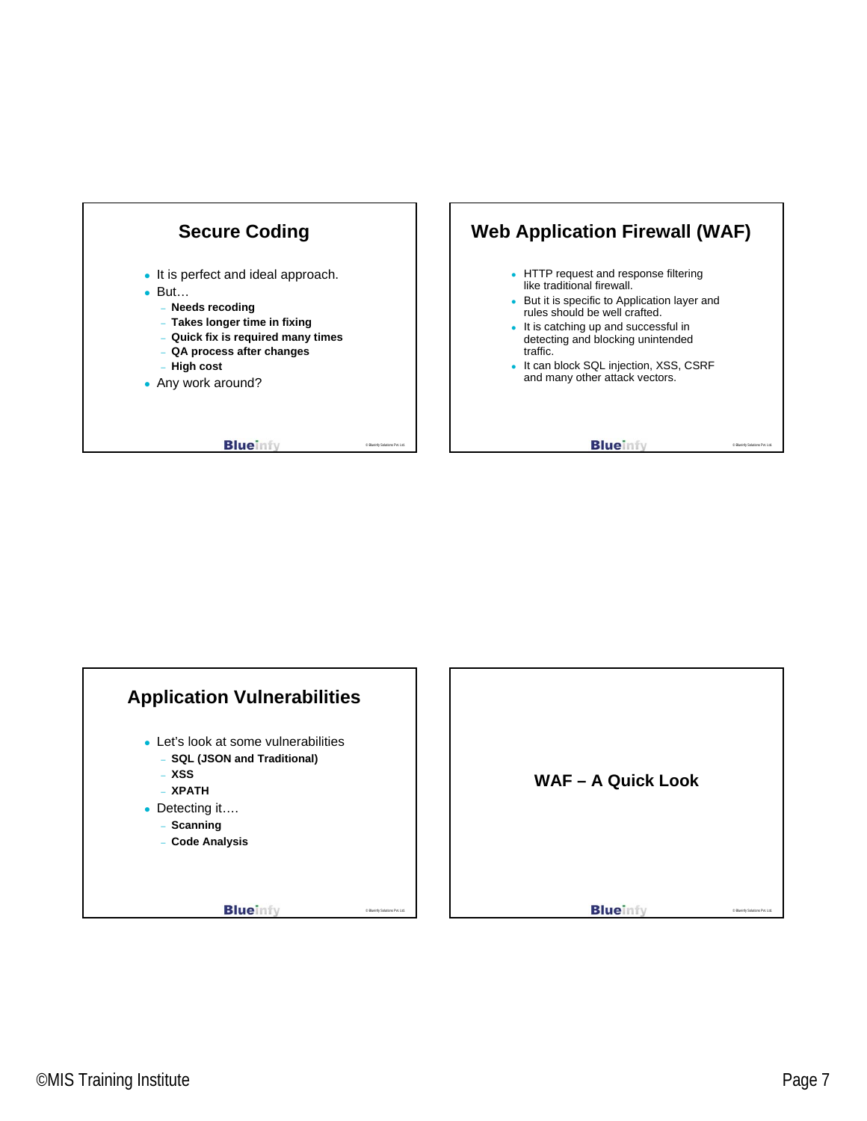

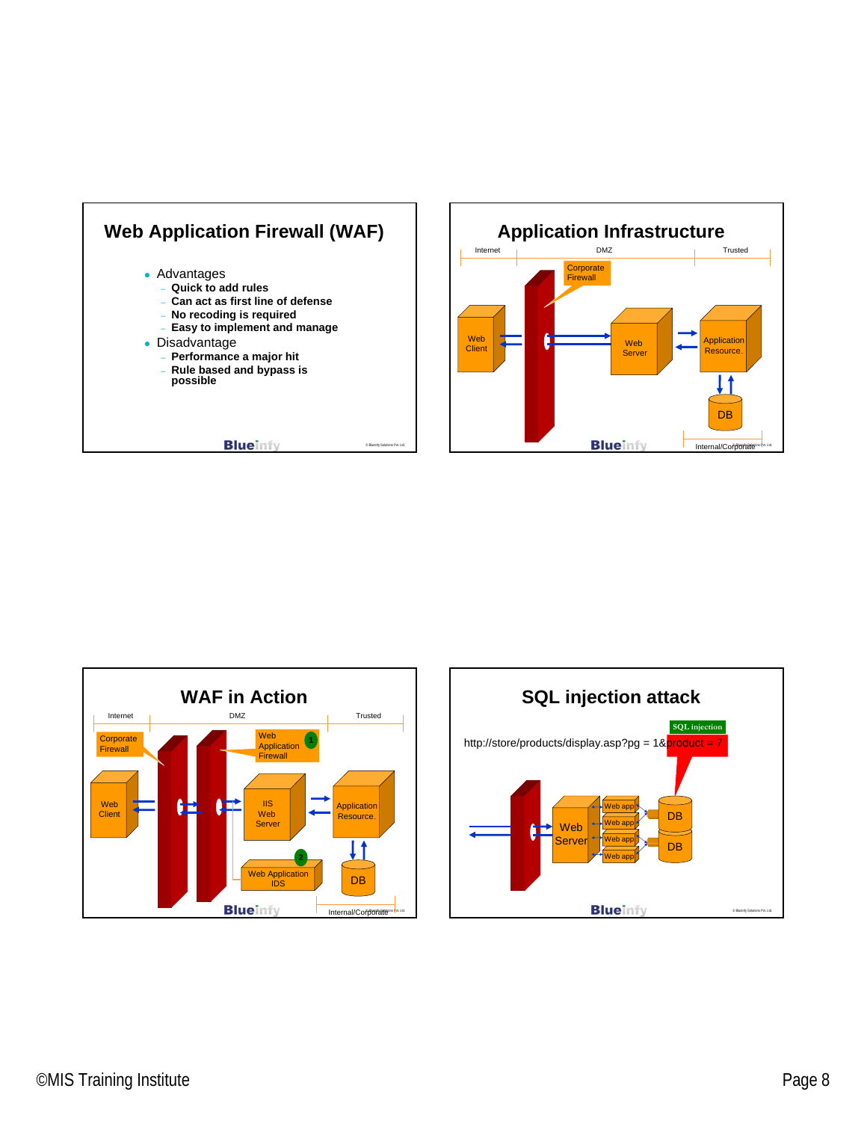





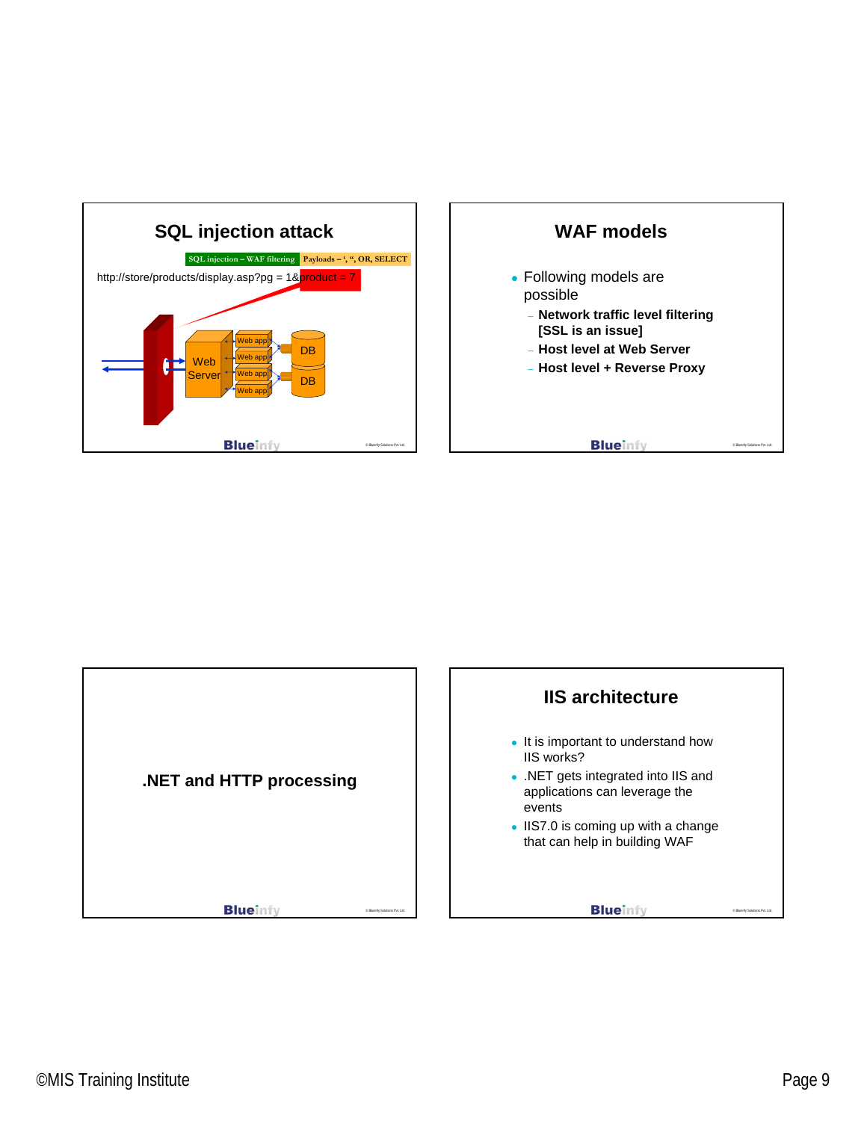



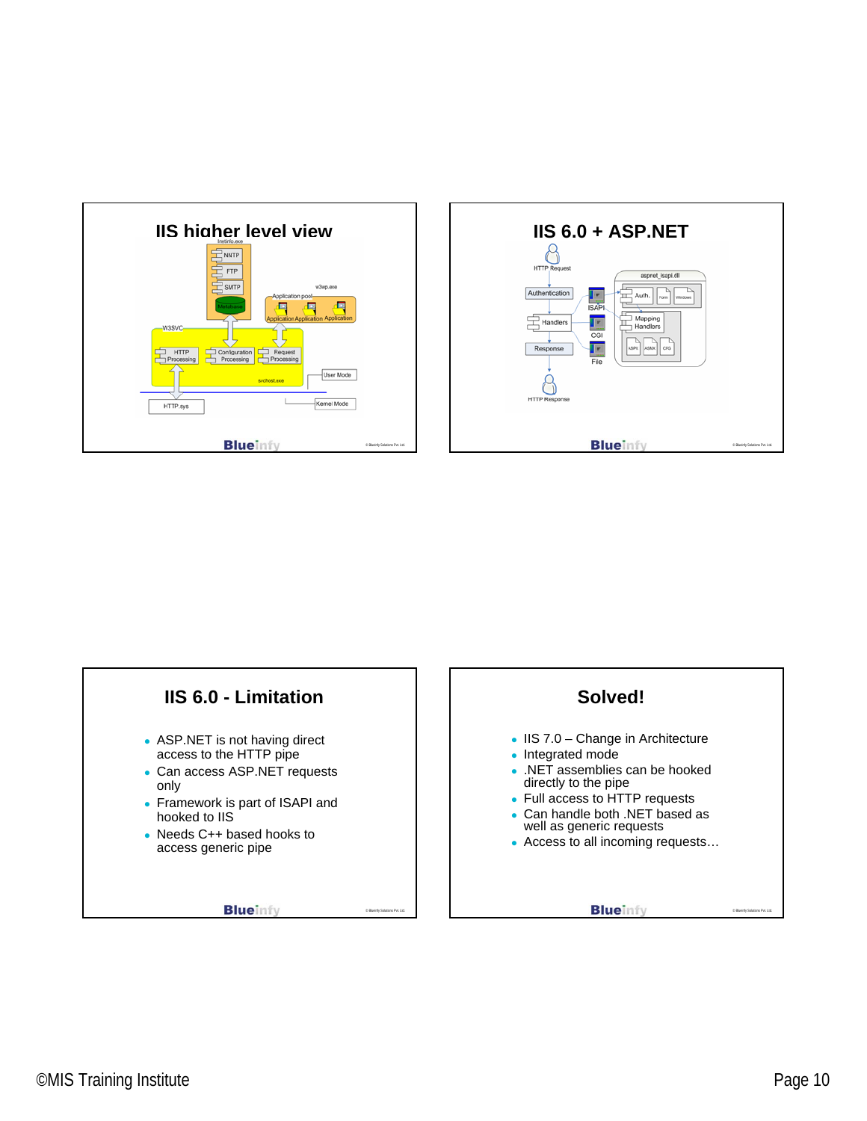



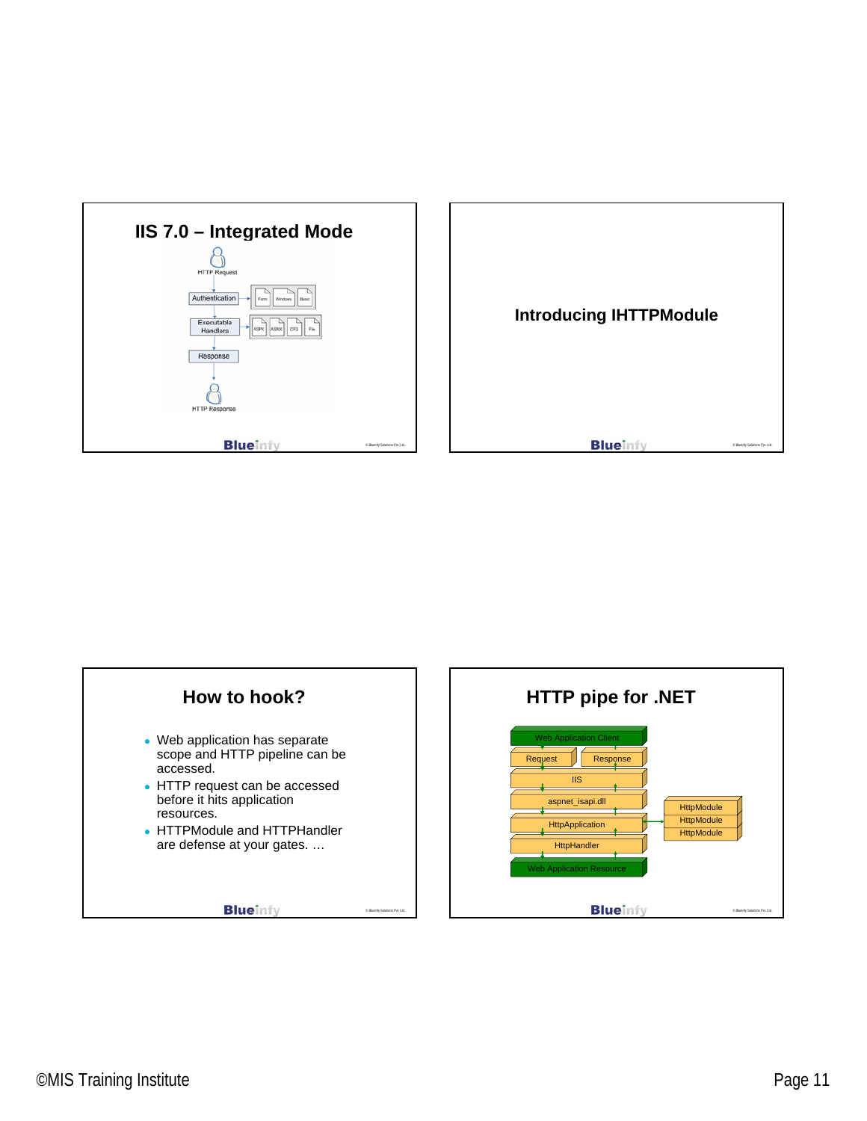



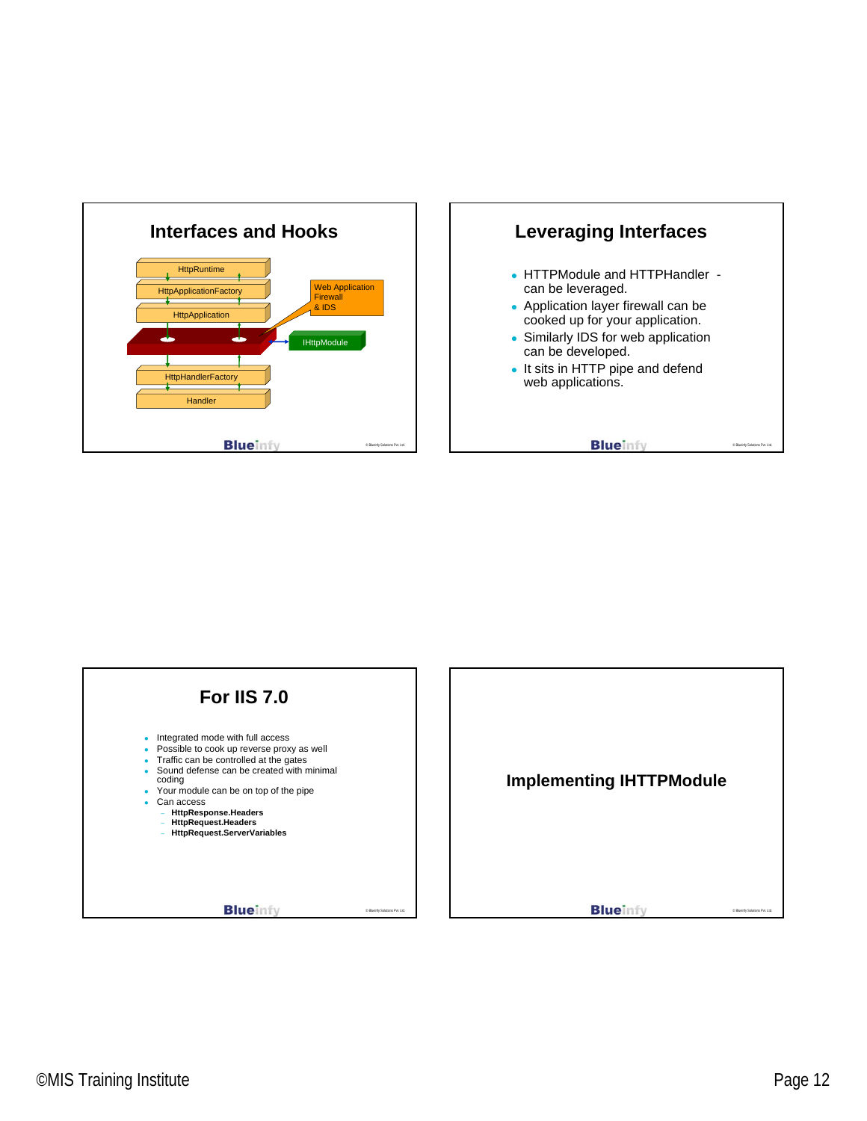



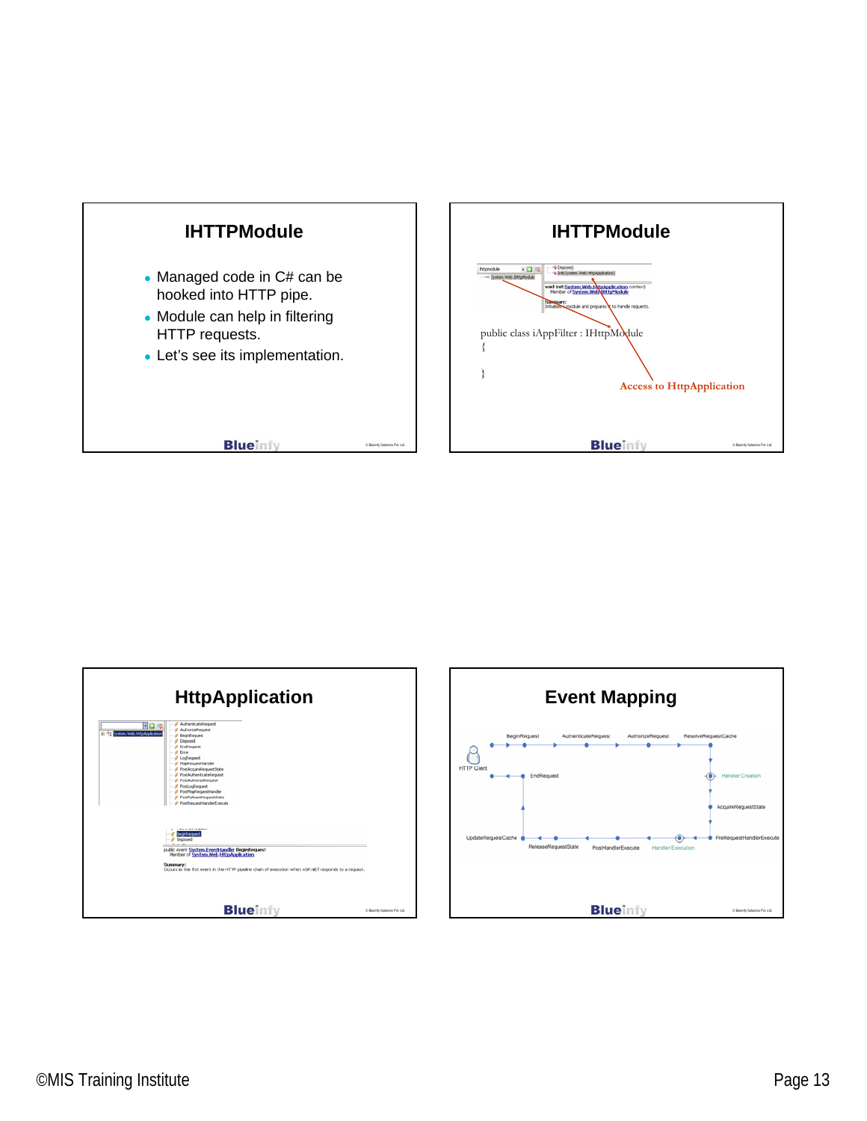



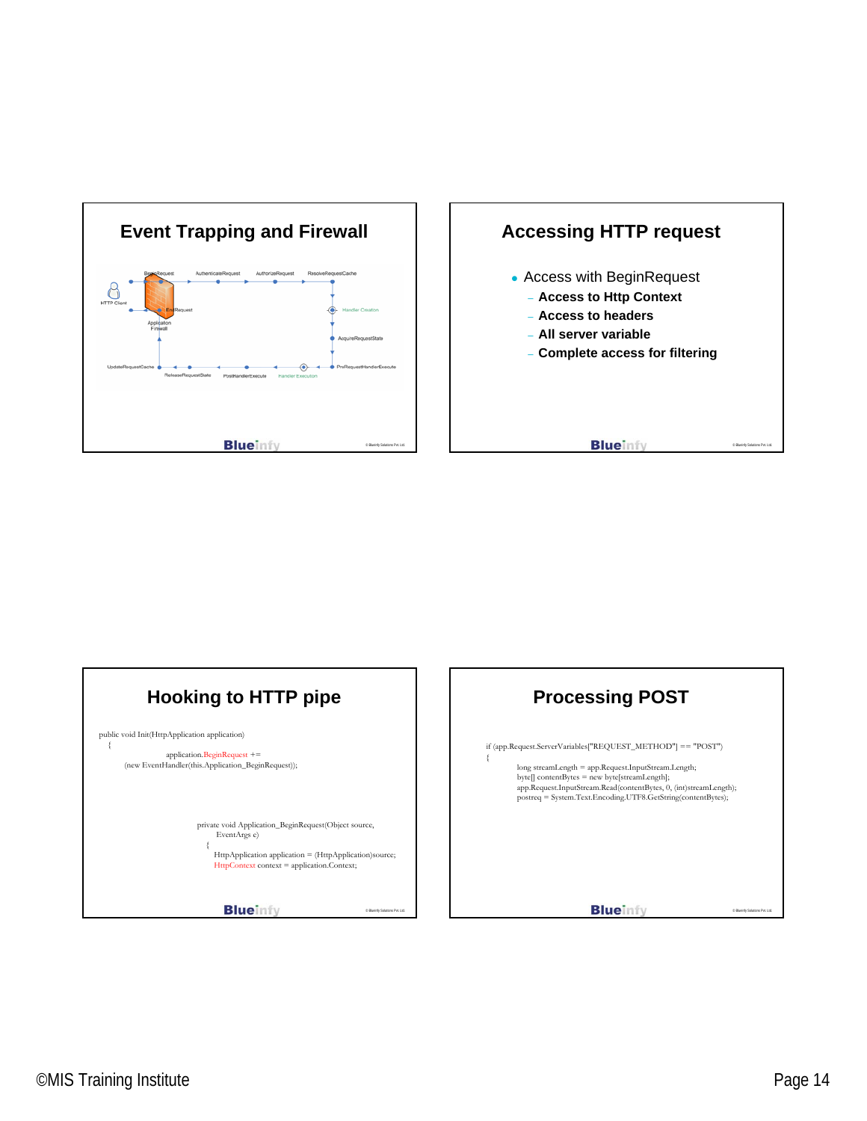





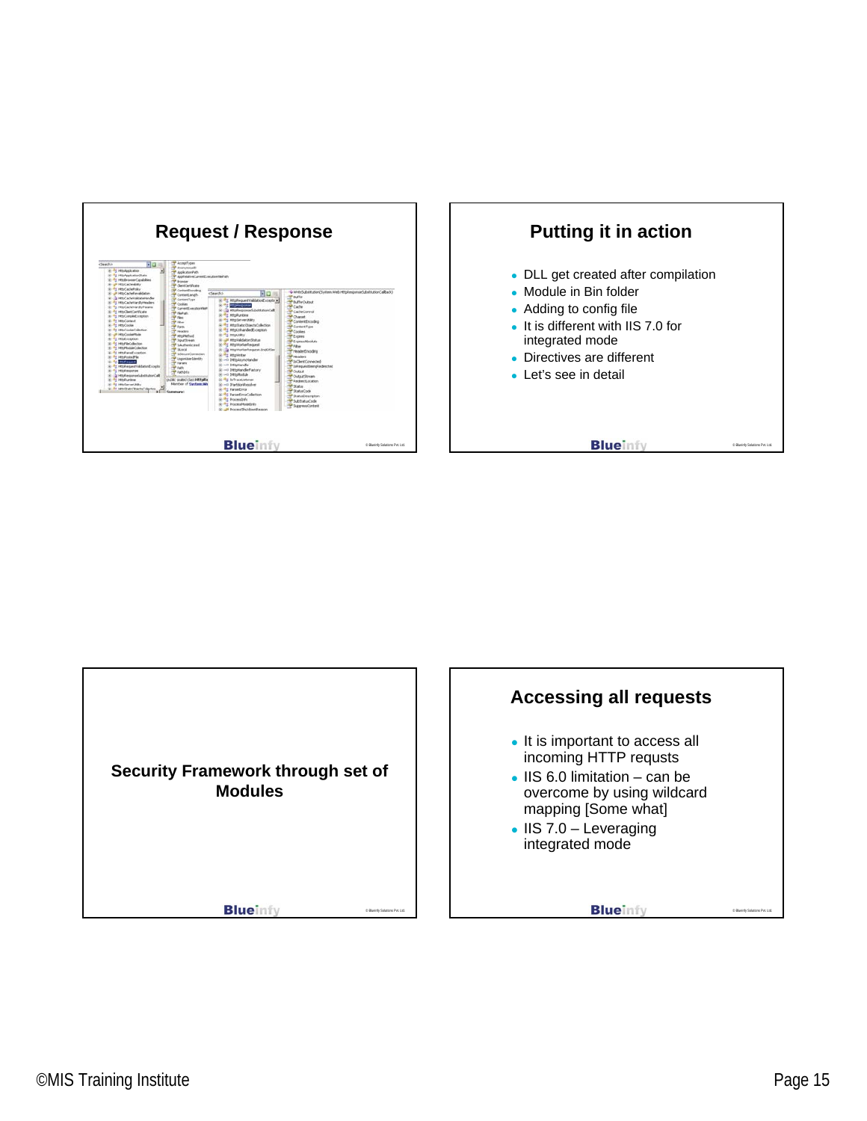



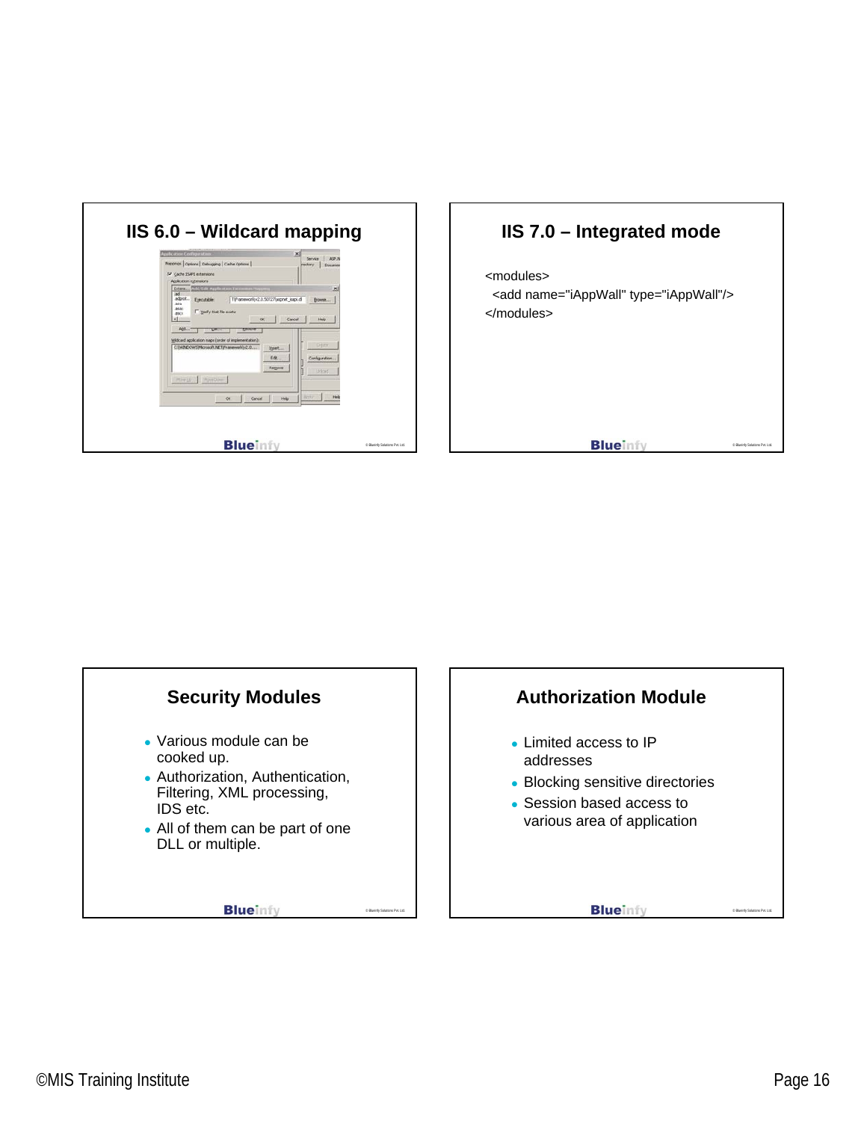



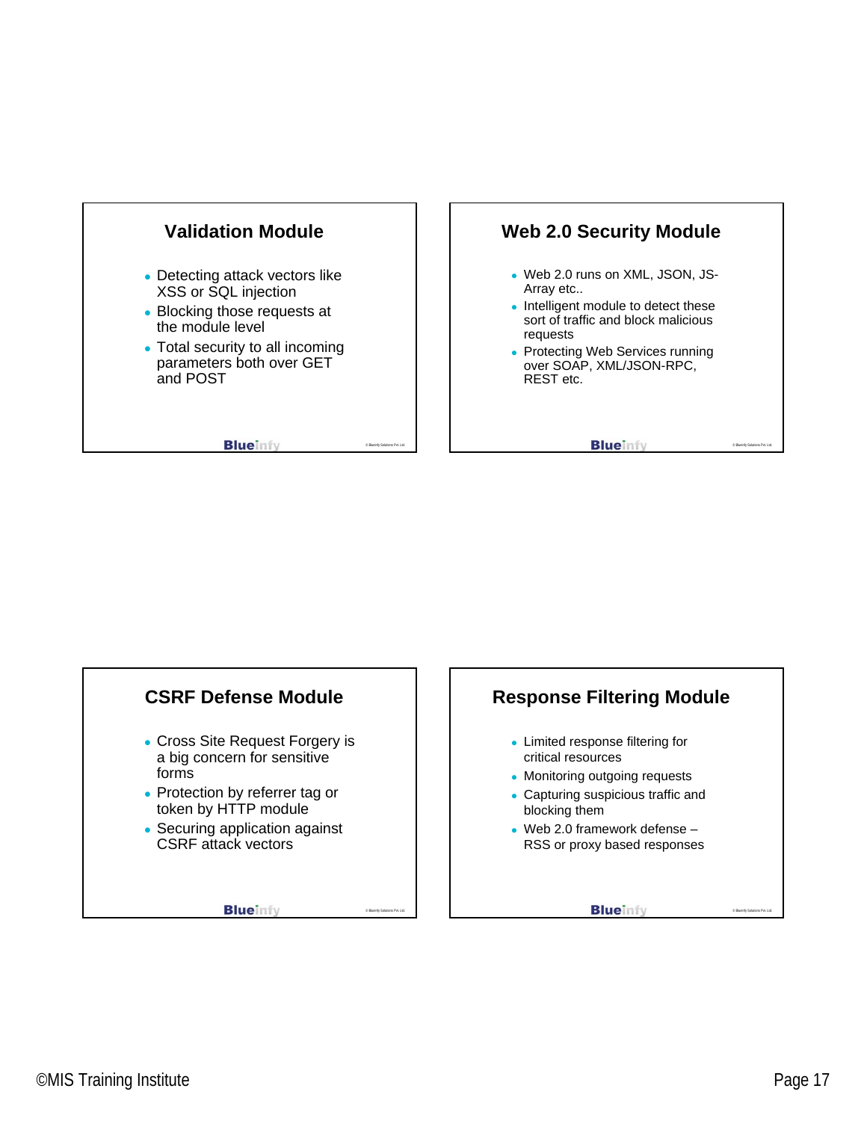